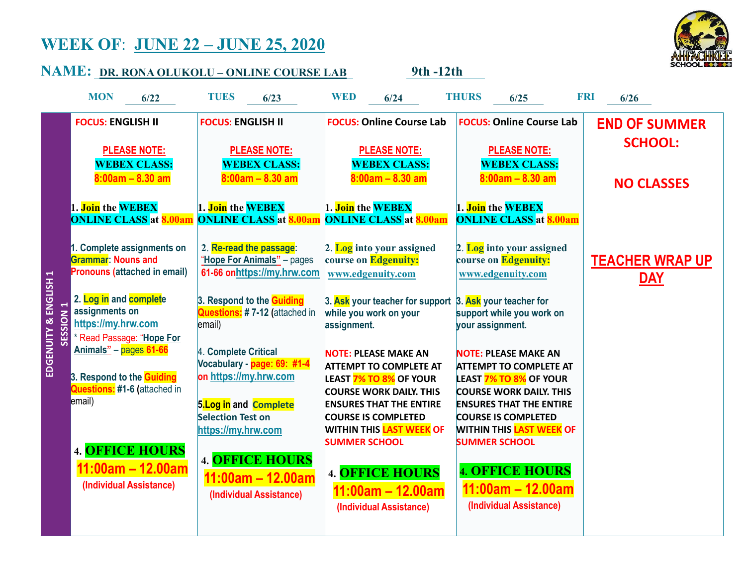## WEEK OF: JUNE 22 – JUNE 25, 2020



|                                  | <u> NAME: pr. rona olukolu - online course lab</u>                                                                 |                                                                                                        | 9th -12th                                                                                                                                                         |                                                                                                                                                                   | <b>SCHOOLEXX</b>                     |
|----------------------------------|--------------------------------------------------------------------------------------------------------------------|--------------------------------------------------------------------------------------------------------|-------------------------------------------------------------------------------------------------------------------------------------------------------------------|-------------------------------------------------------------------------------------------------------------------------------------------------------------------|--------------------------------------|
|                                  | <b>MON</b><br>6/22                                                                                                 | <b>TUES</b><br>6/23                                                                                    | <b>WED</b><br>6/24                                                                                                                                                | <b>THURS</b><br>6/25                                                                                                                                              | FRI<br>6/26                          |
|                                  | <b>FOCUS: ENGLISH II</b>                                                                                           | <b>FOCUS: ENGLISH II</b>                                                                               | <b>FOCUS: Online Course Lab</b>                                                                                                                                   | <b>FOCUS: Online Course Lab</b>                                                                                                                                   | <b>END OF SUMMER</b>                 |
|                                  | <b>PLEASE NOTE:</b><br><b>WEBEX CLASS:</b>                                                                         | <b>PLEASE NOTE:</b><br><b>WEBEX CLASS:</b>                                                             | <b>PLEASE NOTE:</b><br><b>WEBEX CLASS:</b>                                                                                                                        | <b>PLEASE NOTE:</b><br><b>WEBEX CLASS:</b>                                                                                                                        | <b>SCHOOL:</b>                       |
|                                  | $8:00am - 8.30am$                                                                                                  | $8:00am - 8.30am$                                                                                      | $8:00am - 8.30am$                                                                                                                                                 | $8:00am - 8.30am$                                                                                                                                                 | <b>NO CLASSES</b>                    |
|                                  | 1. Join the WEBEX<br><b>ONLINE CLASS</b> at <b>8.00am</b>                                                          | 1. Join the WEBEX<br><b>ONLINE CLASS</b> at <b>8.00am</b>                                              | 1. Join the WEBEX<br><b>ONLINE CLASS at 8.00am</b>                                                                                                                | 1. Join the WEBEX<br><b>ONLINE CLASS at 8.00am</b>                                                                                                                |                                      |
| EDGENUITY & ENGLISH 1<br>SESSION | 1. Complete assignments on<br><b>Grammar: Nouns and</b><br><b>Pronouns (attached in email)</b>                     | 2. Re-read the passage:<br>"Hope For Animals" - pages<br>61-66 onhttps://my.hrw.com                    | 2. Log into your assigned<br>course on Edgenuity:<br>www.edgenuity.com                                                                                            | 2. Log into your assigned<br>course on Edgenuity:<br>www.edgenuity.com                                                                                            | <b>TEACHER WRAP UP</b><br><u>DAY</u> |
|                                  | 2. Log in and complete<br>assignments on<br>https://my.hrw.com<br>Read Passage: "Hope For                          | 3. Respond to the <b>Guiding</b><br>Questions: #7-12 (attached in<br>email)                            | 3. Ask your teacher for support 3. Ask your teacher for<br>while you work on your<br>assignment.                                                                  | support while you work on<br>your assignment.                                                                                                                     |                                      |
|                                  | <u> Animals" – <mark>pages 61-66</mark></u><br>3. Respond to the Guiding<br>Questions: #1-6 (attached in<br>email) | 4. Complete Critical<br>Vocabulary - page: 69: #1-4<br>on https://my.hrw.com<br>5. Log in and Complete | <b>NOTE: PLEASE MAKE AN</b><br><b>ATTEMPT TO COMPLETE AT</b><br><b>LEAST 7% TO 8% OF YOUR</b><br><b>COURSE WORK DAILY. THIS</b><br><b>ENSURES THAT THE ENTIRE</b> | <b>NOTE: PLEASE MAKE AN</b><br><b>ATTEMPT TO COMPLETE AT</b><br><b>LEAST 7% TO 8% OF YOUR</b><br><b>COURSE WORK DAILY. THIS</b><br><b>ENSURES THAT THE ENTIRE</b> |                                      |
|                                  | <b>4. OFFICE HOURS</b>                                                                                             | <b>Selection Test on</b><br>https://my.hrw.com<br><b>4. OFFICE HOURS</b>                               | <b>COURSE IS COMPLETED</b><br><b>WITHIN THIS LAST WEEK OF</b><br><b>SUMMER SCHOOL</b>                                                                             | <b>COURSE IS COMPLETED</b><br>WITHIN THIS <mark>LAST WEEK</mark> OF<br><b>SUMMER SCHOOL</b>                                                                       |                                      |
|                                  | $11:00am - 12.00am$<br>(Individual Assistance)                                                                     | $11:00am - 12.00am$<br>(Individual Assistance)                                                         | <b>4. OFFICE HOURS</b><br>$11:00am - 12.00am$<br>(Individual Assistance)                                                                                          | <b>4. OFFICE HOURS</b><br>$11:00am - 12.00am$<br>(Individual Assistance)                                                                                          |                                      |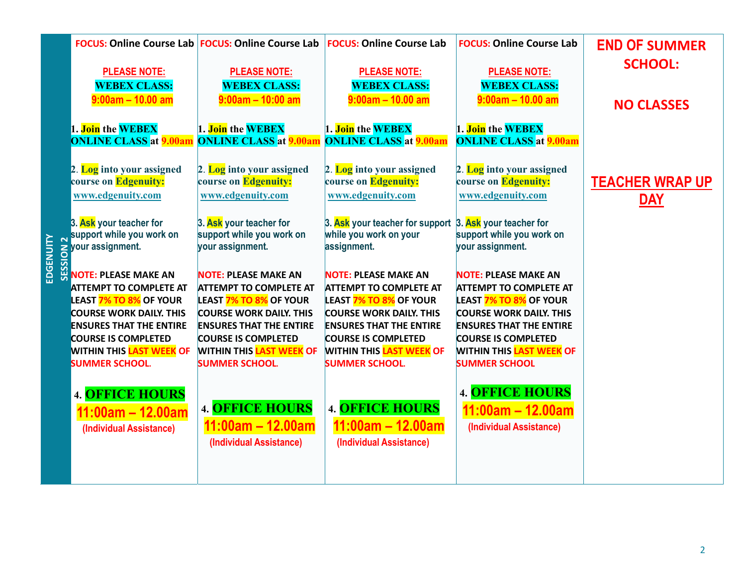|                 |                                                                | <b>FOCUS: Online Course Lab FOCUS: Online Course Lab FOCUS: Online Course Lab</b> |                                                                                   | <b>FOCUS: Online Course Lab</b>                              | <b>END OF SUMMER</b>   |
|-----------------|----------------------------------------------------------------|-----------------------------------------------------------------------------------|-----------------------------------------------------------------------------------|--------------------------------------------------------------|------------------------|
|                 | <b>PLEASE NOTE:</b>                                            | <b>PLEASE NOTE:</b>                                                               | <b>PLEASE NOTE:</b>                                                               | <b>PLEASE NOTE:</b>                                          | <b>SCHOOL:</b>         |
|                 | <b>WEBEX CLASS:</b>                                            | <b>WEBEX CLASS:</b>                                                               | <b>WEBEX CLASS:</b>                                                               | <b>WEBEX CLASS:</b>                                          |                        |
|                 | $9:00am - 10.00 am$                                            | $9:00$ am - 10:00 am                                                              | $9:00am - 10.00am$                                                                | $9:00am - 10.00 am$                                          | <b>NO CLASSES</b>      |
|                 | 1. Join the WEBEX                                              | 1. Join the WEBEX                                                                 | 1. Join the WEBEX                                                                 | 1. Join the WEBEX                                            |                        |
|                 | <b>ONLINE CLASS at 9.00am</b>                                  | <b>ONLINE CLASS at 9.00am</b>                                                     | <b>ONLINE CLASS at 9.00am</b>                                                     | <b>ONLINE CLASS at 9.00am</b>                                |                        |
|                 |                                                                |                                                                                   |                                                                                   |                                                              |                        |
|                 | 2. Log into your assigned<br>course on Edgenuity:              | 2. Log into your assigned<br>course on Edgenuity:                                 | 2. Log into your assigned<br>course on Edgenuity:                                 | 2. Log into your assigned<br>course on Edgenuity:            | <b>TEACHER WRAP UP</b> |
|                 | www.edgenuity.com                                              | www.edgenuity.com                                                                 | www.edgenuity.com                                                                 | www.edgenuity.com                                            | <u>DAY</u>             |
|                 |                                                                |                                                                                   |                                                                                   |                                                              |                        |
|                 | 3. Ask your teacher for<br>support while you work on           | 3. Ask your teacher for<br>support while you work on                              | 3. Ask your teacher for support 3. Ask your teacher for<br>while you work on your | support while you work on                                    |                        |
|                 |                                                                | your assignment.                                                                  | assignment.                                                                       | your assignment.                                             |                        |
| <b>EDGENUIT</b> | <b>S</b> your assignment.<br>05<br><del>U</del> NOTE: PLEASE M |                                                                                   |                                                                                   |                                                              |                        |
|                 | <b>NOTE: PLEASE MAKE AN</b><br><b>ATTEMPT TO COMPLETE AT</b>   | <b>NOTE: PLEASE MAKE AN</b><br><b>ATTEMPT TO COMPLETE AT</b>                      | <b>NOTE: PLEASE MAKE AN</b><br><b>ATTEMPT TO COMPLETE AT</b>                      | <b>NOTE: PLEASE MAKE AN</b><br><b>ATTEMPT TO COMPLETE AT</b> |                        |
|                 | LEAST <mark>7% TO 8%</mark> OF YOUR                            | <b>LEAST 7% TO 8% OF YOUR</b>                                                     | <b>LEAST 7% TO 8% OF YOUR</b>                                                     | <b>LEAST 7% TO 8% OF YOUR</b>                                |                        |
|                 | <b>COURSE WORK DAILY. THIS</b>                                 | <b>COURSE WORK DAILY. THIS</b>                                                    | <b>COURSE WORK DAILY. THIS</b>                                                    | <b>COURSE WORK DAILY. THIS</b>                               |                        |
|                 | <b>ENSURES THAT THE ENTIRE</b><br><b>COURSE IS COMPLETED</b>   | <b>ENSURES THAT THE ENTIRE</b><br><b>COURSE IS COMPLETED</b>                      | <b>ENSURES THAT THE ENTIRE</b><br><b>COURSE IS COMPLETED</b>                      | <b>ENSURES THAT THE ENTIRE</b><br><b>COURSE IS COMPLETED</b> |                        |
|                 | <b>WITHIN THIS LAST WEEK OF</b>                                | <b>WITHIN THIS LAST WEEK OF</b>                                                   | <b>WITHIN THIS LAST WEEK OF</b>                                                   | <b>WITHIN THIS LAST WEEK OF</b>                              |                        |
|                 | <b>SUMMER SCHOOL.</b>                                          | <b>SUMMER SCHOOL.</b>                                                             | <b>SUMMER SCHOOL.</b>                                                             | <b>SUMMER SCHOOL</b>                                         |                        |
|                 | <b>4. OFFICE HOURS</b>                                         |                                                                                   |                                                                                   | <b>4. OFFICE HOURS</b>                                       |                        |
|                 | 11:00am - 12.00am                                              | <b>4. OFFICE HOURS</b>                                                            | <b>4. OFFICE HOURS</b>                                                            | $11:00am - 12.00am$                                          |                        |
|                 | (Individual Assistance)                                        | $11:00am - 12.00am$                                                               | $11:00am - 12.00am$                                                               | (Individual Assistance)                                      |                        |
|                 |                                                                | (Individual Assistance)                                                           | (Individual Assistance)                                                           |                                                              |                        |
|                 |                                                                |                                                                                   |                                                                                   |                                                              |                        |
|                 |                                                                |                                                                                   |                                                                                   |                                                              |                        |
|                 |                                                                |                                                                                   |                                                                                   |                                                              |                        |
|                 |                                                                |                                                                                   |                                                                                   |                                                              |                        |
|                 |                                                                |                                                                                   |                                                                                   |                                                              |                        |
|                 |                                                                |                                                                                   |                                                                                   |                                                              |                        |